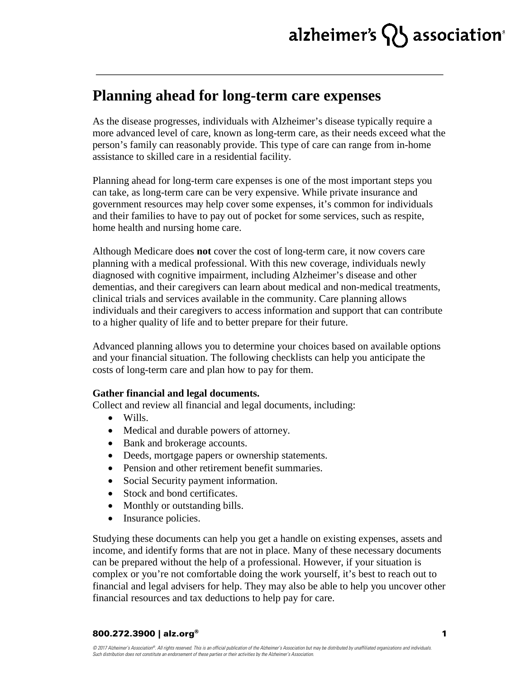# alzheimer's  $\{ \}$  association

### **Planning ahead for long-term care expenses**

As the disease progresses, individuals with Alzheimer's disease typically require a more advanced level of care, known as long-term care, as their needs exceed what the person's family can reasonably provide. This type of care can range from in-home assistance to skilled care in a residential facility.

Planning ahead for long-term care expenses is one of the most important steps you can take, as long-term care can be very expensive. While private insurance and government resources may help cover some expenses, it's common for individuals and their families to have to pay out of pocket for some services, such as respite, home health and nursing home care.

Although Medicare does **not** cover the cost of long-term care, it now covers care planning with a medical professional. With this new coverage, individuals newly diagnosed with cognitive impairment, including Alzheimer's disease and other dementias, and their caregivers can learn about medical and non-medical treatments, clinical trials and services available in the community. Care planning allows individuals and their caregivers to access information and support that can contribute to a higher quality of life and to better prepare for their future.

Advanced planning allows you to determine your choices based on available options and your financial situation. The following checklists can help you anticipate the costs of long-term care and plan how to pay for them.

### **Gather financial and legal documents.**

Collect and review all financial and legal documents, including:

- Wills.
- Medical and durable powers of attorney.
- Bank and brokerage accounts.
- Deeds, mortgage papers or ownership statements.
- Pension and other retirement benefit summaries.
- Social Security payment information.
- Stock and bond certificates.
- Monthly or outstanding bills.
- Insurance policies.

Studying these documents can help you get a handle on existing expenses, assets and income, and identify forms that are not in place. Many of these necessary documents can be prepared without the help of a professional. However, if your situation is complex or you're not comfortable doing the work yourself, it's best to reach out to financial and legal advisers for help. They may also be able to help you uncover other financial resources and tax deductions to help pay for care.

#### 800.272.3900 | alz.org®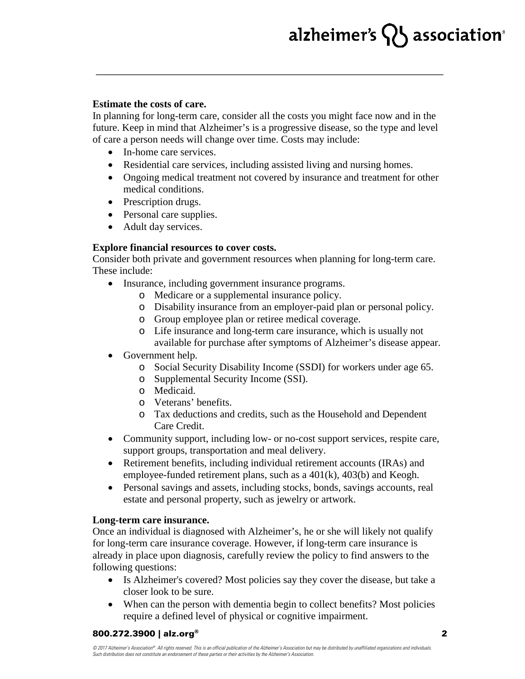# alzheimer's  $\{ \}$  association $^{\circ}$

#### **Estimate the costs of care.**

In planning for long-term care, consider all the costs you might face now and in the future. Keep in mind that Alzheimer's is a progressive disease, so the type and level of care a person needs will change over time. Costs may include:

- In-home care services.
- Residential care services, including assisted living and nursing homes.
- Ongoing medical treatment not covered by insurance and treatment for other medical conditions.
- Prescription drugs.
- Personal care supplies.
- Adult day services.

### **Explore financial resources to cover costs.**

Consider both private and government resources when planning for long-term care. These include:

- Insurance, including government insurance programs.
	- o Medicare or a supplemental insurance policy.
	- o Disability insurance from an employer-paid plan or personal policy.
	- o Group employee plan or retiree medical coverage.
	- o Life insurance and long-term care insurance, which is usually not available for purchase after symptoms of Alzheimer's disease appear.
- Government help.
	- o Social Security Disability Income (SSDI) for workers under age 65.
	- o Supplemental Security Income (SSI).
	- o Medicaid.
	- o Veterans' benefits.
	- o Tax deductions and credits, such as the Household and Dependent Care Credit.
- Community support, including low- or no-cost support services, respite care, support groups, transportation and meal delivery.
- Retirement benefits, including individual retirement accounts (IRAs) and employee-funded retirement plans, such as a 401(k), 403(b) and Keogh.
- Personal savings and assets, including stocks, bonds, savings accounts, real estate and personal property, such as jewelry or artwork.

### **Long-term care insurance.**

Once an individual is diagnosed with Alzheimer's, he or she will likely not qualify for long-term care insurance coverage. However, if long-term care insurance is already in place upon diagnosis, carefully review the policy to find answers to the following questions:

- Is Alzheimer's covered? Most policies say they cover the disease, but take a closer look to be sure.
- When can the person with dementia begin to collect benefits? Most policies require a defined level of physical or cognitive impairment.

### 800.272.3900 | alz.org®